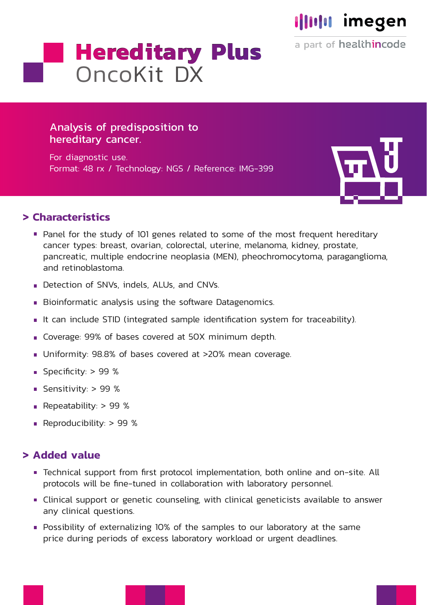

a part of healthincode

# **Hereditary Plus OncoKit DX**

## Analysis of predisposition to hereditary cancer.

For diagnostic use. Format: 48 rx / Technology: NGS / Reference: IMG-399



#### **> Characteristics**

- Panel for the study of 101 genes related to some of the most frequent hereditary cancer types: breast, ovarian, colorectal, uterine, melanoma, kidney, prostate, pancreatic, multiple endocrine neoplasia (MEN), pheochromocytoma, paraganglioma, and retinoblastoma.
- Detection of SNVs, indels, ALUs, and CNVs.
- Bioinformatic analysis using the software Datagenomics.
- It can include STID (integrated sample identification system for traceability).
- Coverage: 99% of bases covered at 50X minimum depth.
- Uniformity: 98.8% of bases covered at >20% mean coverage.
- Specificity: > 99 %
- Sensitivity: > 99 %
- Repeatability:  $> 99$  %
- Reproducibility: > 99 %

#### **> Added value**

- Technical support from first protocol implementation, both online and on-site. All protocols will be fine-tuned in collaboration with laboratory personnel.
- Clinical support or genetic counseling, with clinical geneticists available to answer any clinical questions.
- **Possibility of externalizing 10% of the samples to our laboratory at the same** price during periods of excess laboratory workload or urgent deadlines.